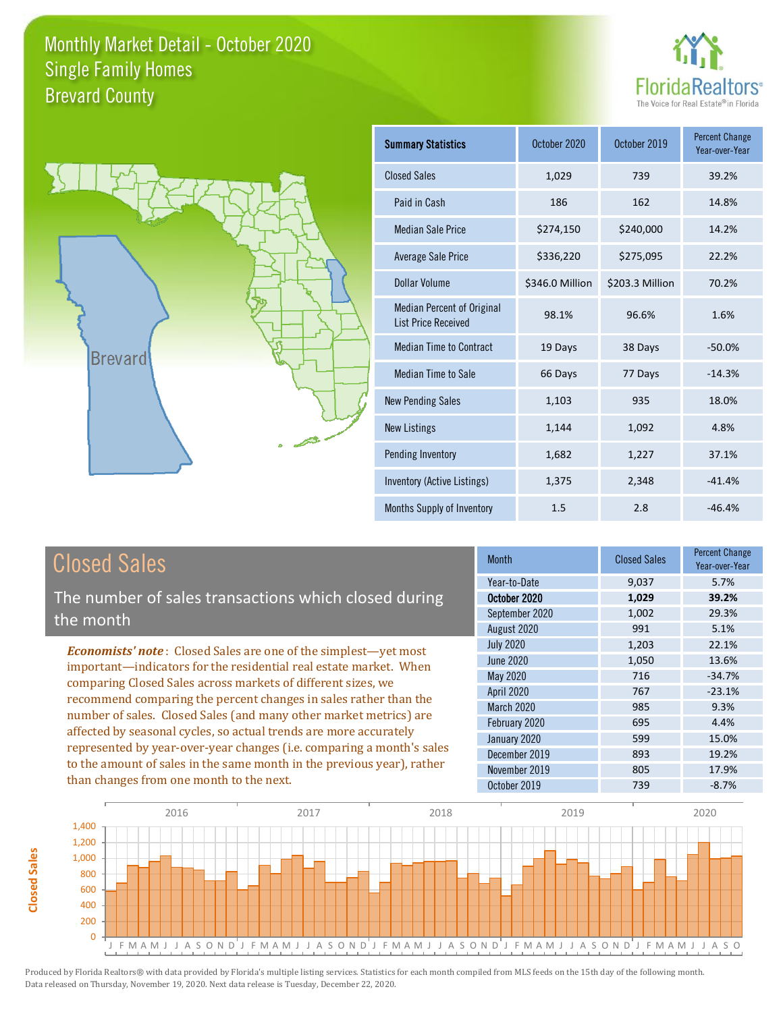



| <b>Summary Statistics</b>                                       | October 2020    | October 2019    | <b>Percent Change</b><br>Year-over-Year |
|-----------------------------------------------------------------|-----------------|-----------------|-----------------------------------------|
| <b>Closed Sales</b>                                             | 1,029           | 739             | 39.2%                                   |
| Paid in Cash                                                    | 186             | 162             | 14.8%                                   |
| <b>Median Sale Price</b>                                        | \$274,150       | \$240,000       | 14.2%                                   |
| Average Sale Price                                              | \$336,220       | \$275,095       | 22.2%                                   |
| Dollar Volume                                                   | \$346.0 Million | \$203.3 Million | 70.2%                                   |
| <b>Median Percent of Original</b><br><b>List Price Received</b> | 98.1%           | 96.6%           | 1.6%                                    |
| <b>Median Time to Contract</b>                                  | 19 Days         | 38 Days         | $-50.0%$                                |
| Median Time to Sale                                             | 66 Days         | 77 Days         | $-14.3%$                                |
| <b>New Pending Sales</b>                                        | 1,103           | 935             | 18.0%                                   |
| <b>New Listings</b>                                             | 1,144           | 1,092           | 4.8%                                    |
| Pending Inventory                                               | 1,682           | 1,227           | 37.1%                                   |
| Inventory (Active Listings)                                     | 1,375           | 2,348           | $-41.4%$                                |
| Months Supply of Inventory                                      | 1.5             | 2.8             | $-46.4%$                                |

# Closed Sales

The number of sales transactions which closed during the month

*Economists' note* : Closed Sales are one of the simplest—yet most important—indicators for the residential real estate market. When comparing Closed Sales across markets of different sizes, we recommend comparing the percent changes in sales rather than the number of sales. Closed Sales (and many other market metrics) are affected by seasonal cycles, so actual trends are more accurately represented by year-over-year changes (i.e. comparing a month's sales to the amount of sales in the same month in the previous year), rather than changes from one month to the next.

| Month            | <b>Closed Sales</b> | <b>Percent Change</b><br>Year-over-Year |
|------------------|---------------------|-----------------------------------------|
| Year-to-Date     | 9,037               | 5.7%                                    |
| October 2020     | 1,029               | 39.2%                                   |
| September 2020   | 1,002               | 29.3%                                   |
| August 2020      | 991                 | 5.1%                                    |
| <b>July 2020</b> | 1,203               | 22.1%                                   |
| <b>June 2020</b> | 1,050               | 13.6%                                   |
| May 2020         | 716                 | $-34.7%$                                |
| April 2020       | 767                 | $-23.1%$                                |
| March 2020       | 985                 | 9.3%                                    |
| February 2020    | 695                 | 4.4%                                    |
| January 2020     | 599                 | 15.0%                                   |
| December 2019    | 893                 | 19.2%                                   |
| November 2019    | 805                 | 17.9%                                   |
| October 2019     | 739                 | $-8.7%$                                 |

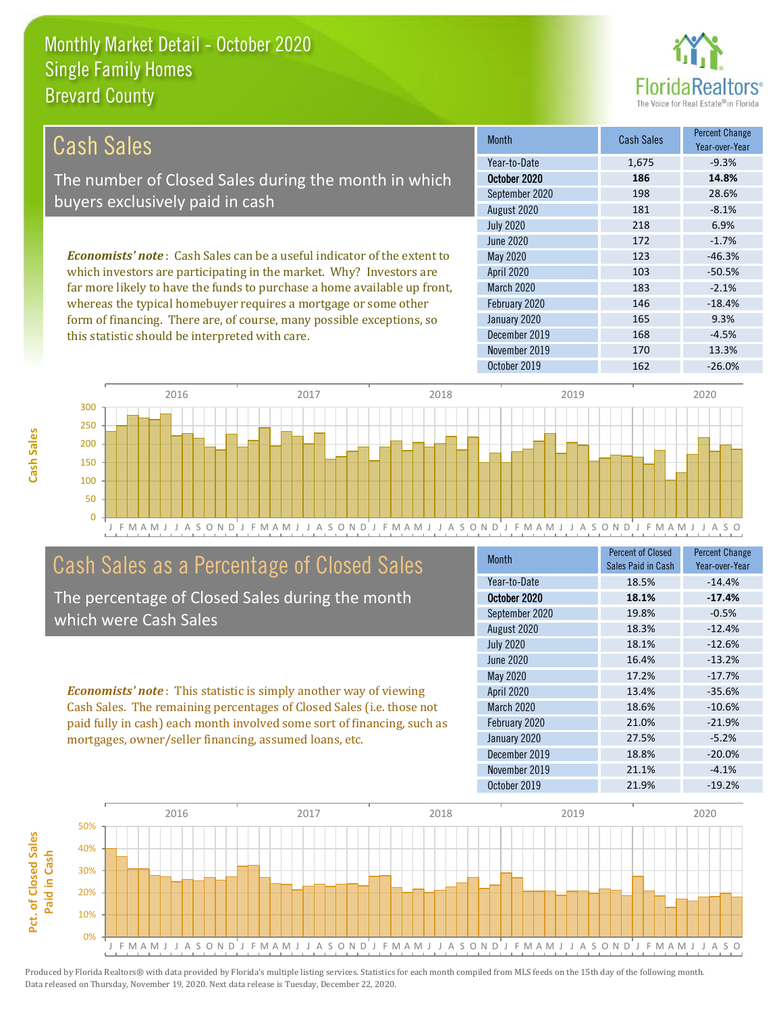this statistic should be interpreted with care.



168 -4.5%

| Cash Sales                                                                     | <b>Month</b>      | <b>Cash Sales</b> | <b>Percent Change</b><br>Year-over-Year |
|--------------------------------------------------------------------------------|-------------------|-------------------|-----------------------------------------|
|                                                                                | Year-to-Date      | 1.675             | $-9.3%$                                 |
| The number of Closed Sales during the month in which                           | October 2020      | 186               | 14.8%                                   |
| buyers exclusively paid in cash                                                | September 2020    | 198               | 28.6%                                   |
|                                                                                | August 2020       | 181               | $-8.1%$                                 |
|                                                                                | <b>July 2020</b>  | 218               | 6.9%                                    |
|                                                                                | June 2020         | 172               | $-1.7%$                                 |
| <b>Economists' note:</b> Cash Sales can be a useful indicator of the extent to | May 2020          | 123               | $-46.3%$                                |
| which investors are participating in the market. Why? Investors are            | <b>April 2020</b> | 103               | $-50.5%$                                |
| far more likely to have the funds to purchase a home available up front,       | <b>March 2020</b> | 183               | $-2.1%$                                 |
| whereas the typical homebuyer requires a mortgage or some other                | February 2020     | 146               | $-18.4%$                                |
| form of financing. There are, of course, many possible exceptions, so          | January 2020      | 165               | 9.3%                                    |

October 2019 162 -26.0% J F M A M J J A S O N D J F M A M J J A S O N D J F M A M J J A S O N D J F M A M J J A S O N D J F M A M J J A S O 0 50 100 150 200 250 300 2016 2017 2018 2019 2020

# Cash Sales as a Percentage of Closed Sales

The percentage of Closed Sales during the month which were Cash Sales

*Economists' note* : This statistic is simply another way of viewing Cash Sales. The remaining percentages of Closed Sales (i.e. those not paid fully in cash) each month involved some sort of financing, such as mortgages, owner/seller financing, assumed loans, etc.

| <b>Month</b>      | <b>Percent of Closed</b><br>Sales Paid in Cash | <b>Percent Change</b><br>Year-over-Year |
|-------------------|------------------------------------------------|-----------------------------------------|
| Year-to-Date      | 18.5%                                          | $-14.4%$                                |
| October 2020      | 18.1%                                          | $-17.4%$                                |
| September 2020    | 19.8%                                          | $-0.5%$                                 |
| August 2020       | 18.3%                                          | $-12.4%$                                |
| <b>July 2020</b>  | 18.1%                                          | $-12.6%$                                |
| <b>June 2020</b>  | 16.4%                                          | $-13.2%$                                |
| May 2020          | 17.2%                                          | $-17.7%$                                |
| <b>April 2020</b> | 13.4%                                          | $-35.6%$                                |
| <b>March 2020</b> | 18.6%                                          | $-10.6%$                                |
| February 2020     | 21.0%                                          | $-21.9%$                                |
| January 2020      | 27.5%                                          | $-5.2%$                                 |
| December 2019     | 18.8%                                          | $-20.0%$                                |
| November 2019     | 21.1%                                          | $-4.1%$                                 |
| October 2019      | 21.9%                                          | $-19.2%$                                |

November 2019 170 13.3%

December 2019

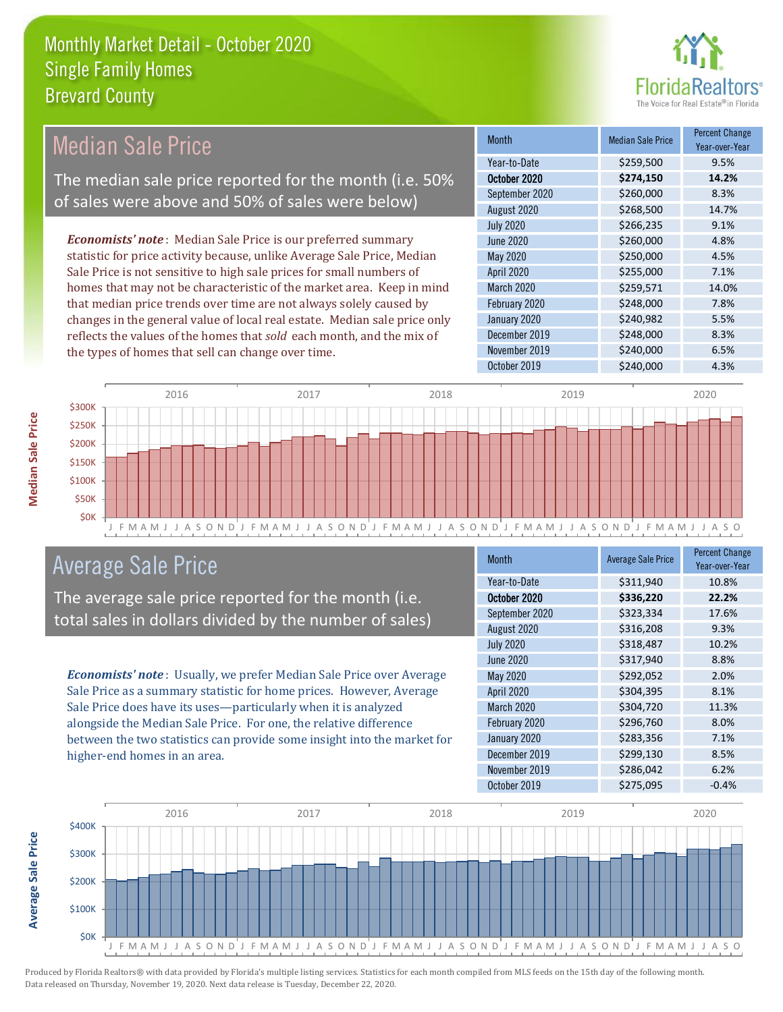

#### *Economists' note* : Median Sale Price is our preferred summary statistic for price activity because, unlike Average Sale Price, Median Sale Price is not sensitive to high sale prices for small numbers of homes that may not be characteristic of the market area. Keep in mind that median price trends over time are not always solely caused by changes in the general value of local real estate. Median sale price only reflects the values of the homes that *sold* each month, and the mix of the types of homes that sell can change over time. October 2019 **\$240,000** \$240,000 4.3% December 2019 **\$248,000** 8.3% November 2019 **\$240,000** 6.5% February 2020 \$248,000 7.8% January 2020 **\$240,982** 5.5% \$266,235 9.1% June 2020 **\$260,000** \$260,000 4.8% March 2020 \$259,571 14.0% September 2020 \$260,000 \$260,000 8.3% August 2020 \$268,500 14.7% May 2020 6250,000 4.5% April 2020 \$255,000 7.1% July 2020 Month Median Sale Price Percent Change Year-over-Year October 2020 **\$274,150 14.2%** Year-to-Date \$259,500 9.5% Median Sale Price The median sale price reported for the month (i.e. 50% of sales were above and 50% of sales were below)



## Average Sale Price

The average sale price reported for the month (i.e. total sales in dollars divided by the number of sales)

*Economists' note* : Usually, we prefer Median Sale Price over Average Sale Price as a summary statistic for home prices. However, Average Sale Price does have its uses—particularly when it is analyzed alongside the Median Sale Price. For one, the relative difference between the two statistics can provide some insight into the market for higher-end homes in an area.

| Month            | <b>Average Sale Price</b> | <b>Percent Change</b><br>Year-over-Year |
|------------------|---------------------------|-----------------------------------------|
| Year-to-Date     | \$311,940                 | 10.8%                                   |
| October 2020     | \$336,220                 | 22.2%                                   |
| September 2020   | \$323,334                 | 17.6%                                   |
| August 2020      | \$316,208                 | 9.3%                                    |
| <b>July 2020</b> | \$318,487                 | 10.2%                                   |
| <b>June 2020</b> | \$317,940                 | 8.8%                                    |
| May 2020         | \$292,052                 | 2.0%                                    |
| April 2020       | \$304,395                 | 8.1%                                    |
| March 2020       | \$304,720                 | 11.3%                                   |
| February 2020    | \$296,760                 | 8.0%                                    |
| January 2020     | \$283,356                 | 7.1%                                    |
| December 2019    | \$299,130                 | 8.5%                                    |
| November 2019    | \$286,042                 | 6.2%                                    |
| October 2019     | \$275,095                 | $-0.4%$                                 |



Produced by Florida Realtors® with data provided by Florida's multiple listing services. Statistics for each month compiled from MLS feeds on the 15th day of the following month. Data released on Thursday, November 19, 2020. Next data release is Tuesday, December 22, 2020.

**Average Sale Price**

**Average Sale Price**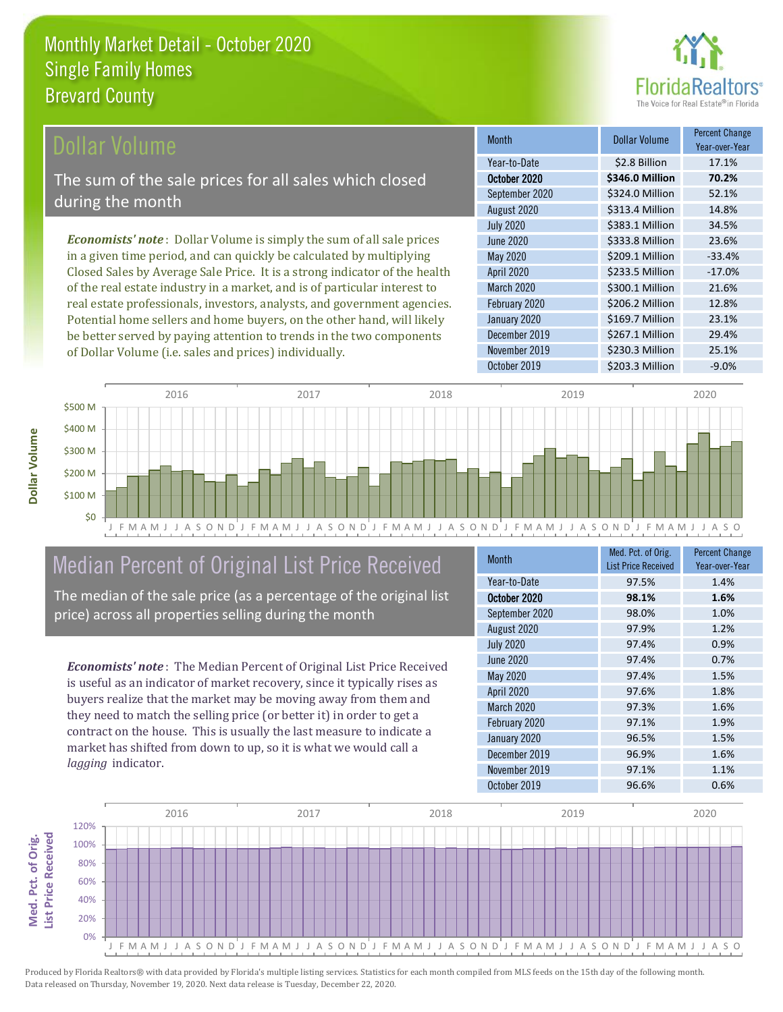

### ollar Volume

The sum of the sale prices for all sales which closed during the month

*Economists' note* : Dollar Volume is simply the sum of all sale prices in a given time period, and can quickly be calculated by multiplying Closed Sales by Average Sale Price. It is a strong indicator of the health of the real estate industry in a market, and is of particular interest to real estate professionals, investors, analysts, and government agencies. Potential home sellers and home buyers, on the other hand, will likely be better served by paying attention to trends in the two components of Dollar Volume (i.e. sales and prices) individually.

| <b>Month</b>     | Dollar Volume   | <b>Percent Change</b><br>Year-over-Year |
|------------------|-----------------|-----------------------------------------|
| Year-to-Date     | \$2.8 Billion   | 17.1%                                   |
| October 2020     | \$346.0 Million | 70.2%                                   |
| September 2020   | \$324.0 Million | 52.1%                                   |
| August 2020      | \$313.4 Million | 14.8%                                   |
| <b>July 2020</b> | \$383.1 Million | 34.5%                                   |
| June 2020        | \$333.8 Million | 23.6%                                   |
| May 2020         | \$209.1 Million | $-33.4%$                                |
| April 2020       | \$233.5 Million | $-17.0%$                                |
| March 2020       | \$300.1 Million | 21.6%                                   |
| February 2020    | \$206.2 Million | 12.8%                                   |
| January 2020     | \$169.7 Million | 23.1%                                   |
| December 2019    | \$267.1 Million | 29.4%                                   |
| November 2019    | \$230.3 Million | 25.1%                                   |
| October 2019     | \$203.3 Million | $-9.0%$                                 |



# Median Percent of Original List Price Received

The median of the sale price (as a percentage of the original list price) across all properties selling during the month

*Economists' note* : The Median Percent of Original List Price Received is useful as an indicator of market recovery, since it typically rises as buyers realize that the market may be moving away from them and they need to match the selling price (or better it) in order to get a contract on the house. This is usually the last measure to indicate a market has shifted from down to up, so it is what we would call a *lagging* indicator.

| <b>Month</b>     | Med. Pct. of Orig.<br><b>List Price Received</b> | <b>Percent Change</b><br>Year-over-Year |
|------------------|--------------------------------------------------|-----------------------------------------|
| Year-to-Date     | 97.5%                                            | 1.4%                                    |
| October 2020     | 98.1%                                            | 1.6%                                    |
| September 2020   | 98.0%                                            | 1.0%                                    |
| August 2020      | 97.9%                                            | 1.2%                                    |
| <b>July 2020</b> | 97.4%                                            | 0.9%                                    |
| <b>June 2020</b> | 97.4%                                            | 0.7%                                    |
| May 2020         | 97.4%                                            | 1.5%                                    |
| April 2020       | 97.6%                                            | 1.8%                                    |
| March 2020       | 97.3%                                            | 1.6%                                    |
| February 2020    | 97.1%                                            | 1.9%                                    |
| January 2020     | 96.5%                                            | 1.5%                                    |
| December 2019    | 96.9%                                            | 1.6%                                    |
| November 2019    | 97.1%                                            | 1.1%                                    |
| October 2019     | 96.6%                                            | 0.6%                                    |



Produced by Florida Realtors® with data provided by Florida's multiple listing services. Statistics for each month compiled from MLS feeds on the 15th day of the following month. Data released on Thursday, November 19, 2020. Next data release is Tuesday, December 22, 2020.

**Med. Pct. of Orig.** 

Med. Pct. of Orig.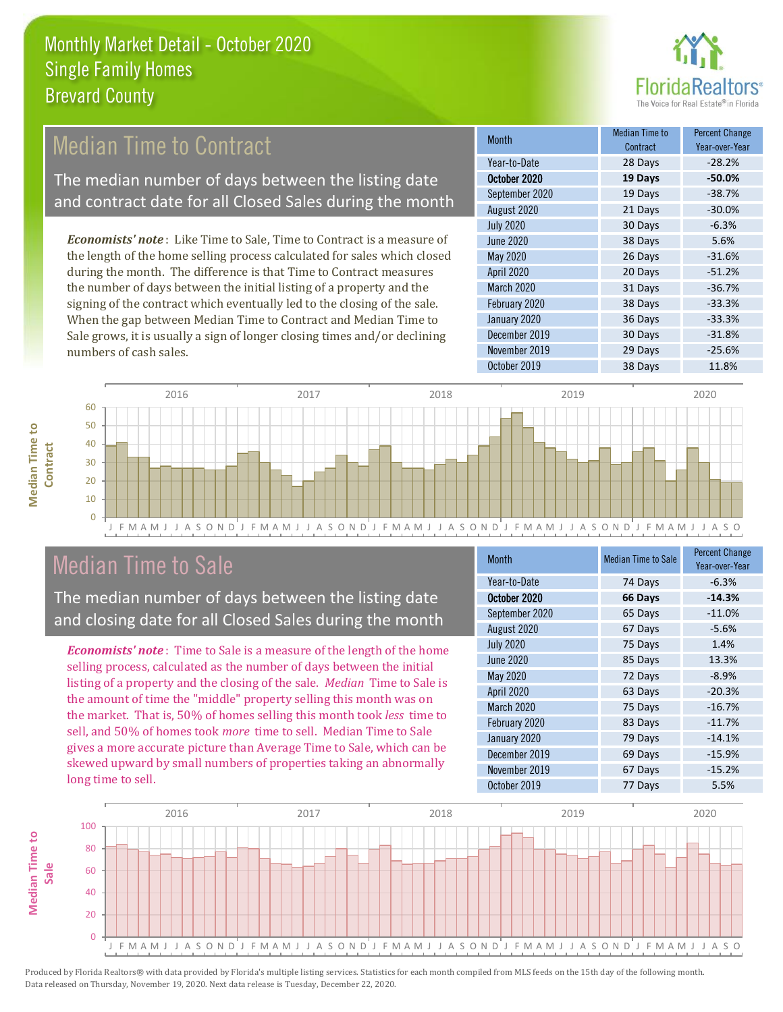

# Median Time to Contract

The median number of days between the listing date and contract date for all Closed Sales during the month

*Economists' note* : Like Time to Sale, Time to Contract is a measure of the length of the home selling process calculated for sales which closed during the month. The difference is that Time to Contract measures the number of days between the initial listing of a property and the signing of the contract which eventually led to the closing of the sale. When the gap between Median Time to Contract and Median Time to Sale grows, it is usually a sign of longer closing times and/or declining numbers of cash sales.

| <b>Month</b>     | Median Time to<br>Contract | <b>Percent Change</b><br>Year-over-Year |
|------------------|----------------------------|-----------------------------------------|
| Year-to-Date     | 28 Days                    | $-28.2%$                                |
| October 2020     | 19 Days                    | $-50.0%$                                |
| September 2020   | 19 Days                    | $-38.7%$                                |
| August 2020      | 21 Days                    | $-30.0%$                                |
| <b>July 2020</b> | 30 Days                    | $-6.3%$                                 |
| <b>June 2020</b> | 38 Days                    | 5.6%                                    |
| May 2020         | 26 Days                    | $-31.6%$                                |
| April 2020       | 20 Days                    | $-51.2%$                                |
| March 2020       | 31 Days                    | $-36.7%$                                |
| February 2020    | 38 Days                    | $-33.3%$                                |
| January 2020     | 36 Days                    | $-33.3%$                                |
| December 2019    | 30 Days                    | $-31.8%$                                |
| November 2019    | 29 Days                    | $-25.6%$                                |
| October 2019     | 38 Days                    | 11.8%                                   |



## Median Time to Sale

**Median Time to Contract**

**Median Time to** 

The median number of days between the listing date and closing date for all Closed Sales during the month

*Economists' note* : Time to Sale is a measure of the length of the home selling process, calculated as the number of days between the initial listing of a property and the closing of the sale. *Median* Time to Sale is the amount of time the "middle" property selling this month was on the market. That is, 50% of homes selling this month took *less* time to sell, and 50% of homes took *more* time to sell. Median Time to Sale gives a more accurate picture than Average Time to Sale, which can be skewed upward by small numbers of properties taking an abnormally long time to sell.

| <b>Month</b>     | <b>Median Time to Sale</b> | <b>Percent Change</b><br>Year-over-Year |
|------------------|----------------------------|-----------------------------------------|
| Year-to-Date     | 74 Days                    | $-6.3%$                                 |
| October 2020     | 66 Days                    | $-14.3%$                                |
| September 2020   | 65 Days                    | $-11.0%$                                |
| August 2020      | 67 Days                    | $-5.6%$                                 |
| <b>July 2020</b> | 75 Days                    | 1.4%                                    |
| <b>June 2020</b> | 85 Days                    | 13.3%                                   |
| May 2020         | 72 Days                    | $-8.9%$                                 |
| April 2020       | 63 Days                    | $-20.3%$                                |
| March 2020       | 75 Days                    | $-16.7%$                                |
| February 2020    | 83 Days                    | $-11.7%$                                |
| January 2020     | 79 Days                    | $-14.1%$                                |
| December 2019    | 69 Days                    | $-15.9%$                                |
| November 2019    | 67 Days                    | $-15.2%$                                |
| October 2019     | 77 Days                    | 5.5%                                    |

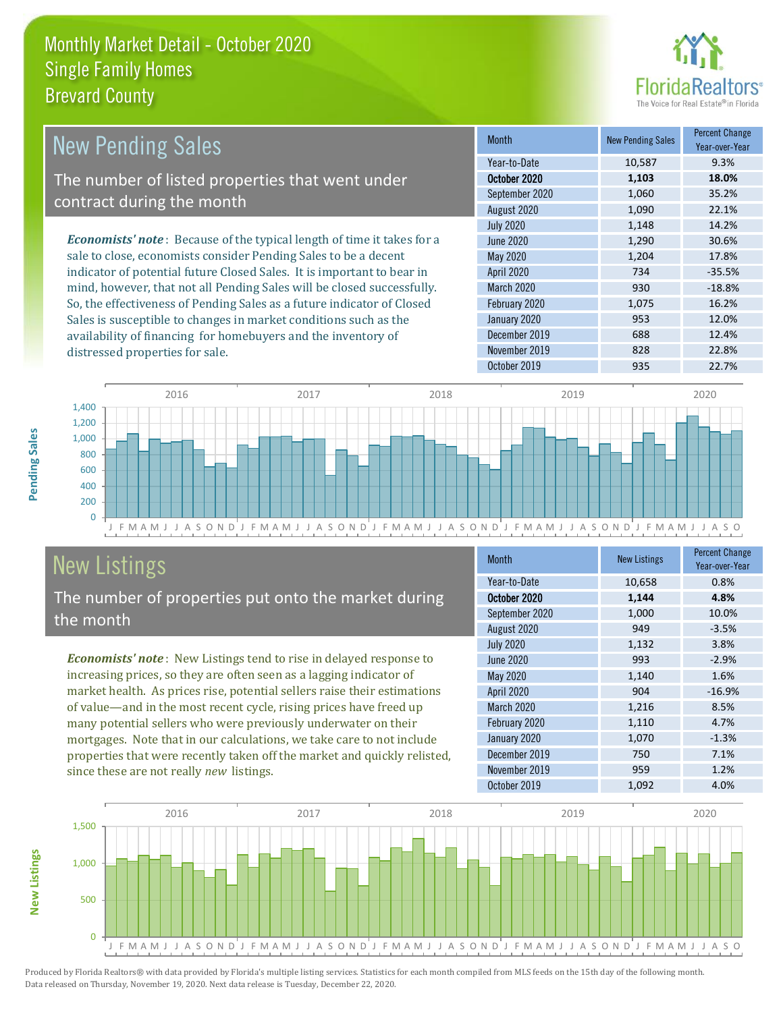

| New Pending Sales                                                             | <b>Month</b>      | <b>New Pending Sales</b> | <b>Percent Change</b><br>Year-over-Year |
|-------------------------------------------------------------------------------|-------------------|--------------------------|-----------------------------------------|
|                                                                               | Year-to-Date      | 10,587                   | 9.3%                                    |
| The number of listed properties that went under                               | October 2020      | 1,103                    | 18.0%                                   |
| contract during the month                                                     | September 2020    | 1,060                    | 35.2%                                   |
|                                                                               | August 2020       | 1,090                    | 22.1%                                   |
|                                                                               | <b>July 2020</b>  | 1,148                    | 14.2%                                   |
| <b>Economists' note:</b> Because of the typical length of time it takes for a | June 2020         | 1,290                    | 30.6%                                   |
| sale to close, economists consider Pending Sales to be a decent               | May 2020          | 1,204                    | 17.8%                                   |
| indicator of potential future Closed Sales. It is important to bear in        | <b>April 2020</b> | 734                      | $-35.5%$                                |
| mind, however, that not all Pending Sales will be closed successfully.        | <b>March 2020</b> | 930                      | $-18.8%$                                |
| So, the effectiveness of Pending Sales as a future indicator of Closed        | February 2020     | 1,075                    | 16.2%                                   |
| Sales is susceptible to changes in market conditions such as the              | January 2020      | 953                      | 12.0%                                   |



# New Listings

distressed properties for sale.

The number of properties put onto the market during

availability of financing for homebuyers and the inventory of

*Economists' note* : New Listings tend to rise in delayed response to increasing prices, so they are often seen as a lagging indicator of market health. As prices rise, potential sellers raise their estimations of value—and in the most recent cycle, rising prices have freed up many potential sellers who were previously underwater on their mortgages. Note that in our calculations, we take care to not include properties that were recently taken off the market and quickly relisted, since these are not really *new* listings.

| <b>Month</b>     | <b>New Listings</b> | <b>Percent Change</b><br>Year-over-Year |
|------------------|---------------------|-----------------------------------------|
| Year-to-Date     | 10,658              | 0.8%                                    |
| October 2020     | 1,144               | 4.8%                                    |
| September 2020   | 1,000               | 10.0%                                   |
| August 2020      | 949                 | $-3.5%$                                 |
| <b>July 2020</b> | 1,132               | 3.8%                                    |
| <b>June 2020</b> | 993                 | $-2.9%$                                 |
| May 2020         | 1,140               | 1.6%                                    |
| April 2020       | 904                 | $-16.9%$                                |
| March 2020       | 1,216               | 8.5%                                    |
| February 2020    | 1,110               | 4.7%                                    |
| January 2020     | 1,070               | $-1.3%$                                 |
| December 2019    | 750                 | 7.1%                                    |
| November 2019    | 959                 | 1.2%                                    |
| October 2019     | 1,092               | 4.0%                                    |

October 2019 **935** 22.7%

December 2019 **688** 12.4% November 2019 **828** 22.8%



**Pending Sales**

Pending Sales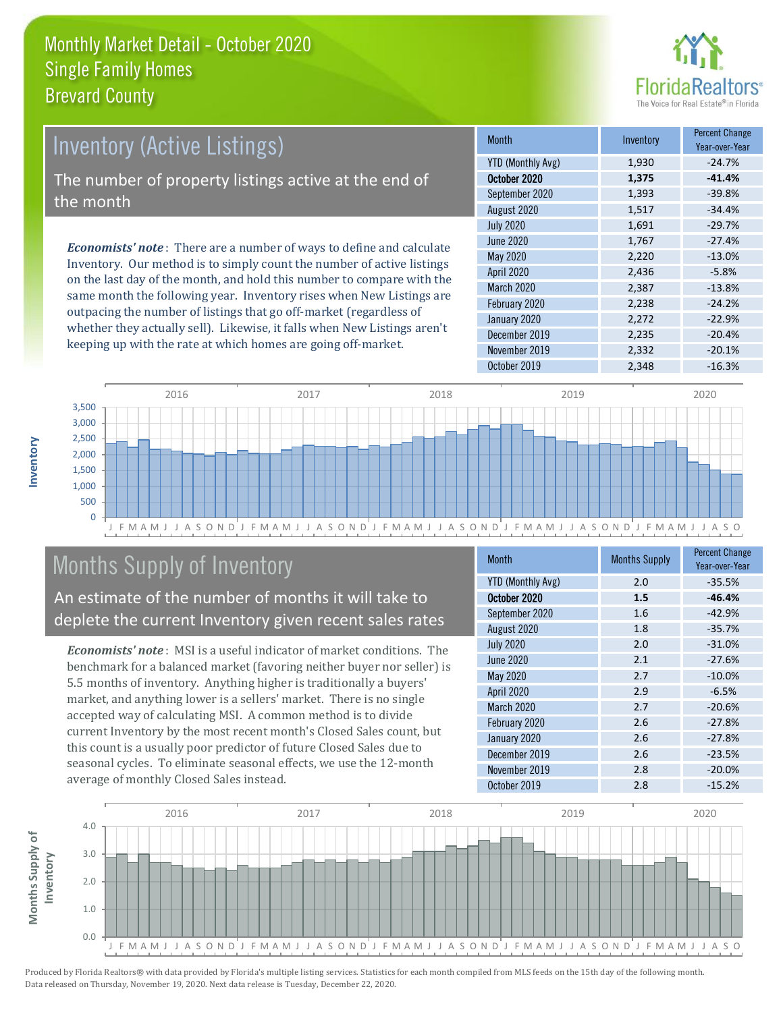

# *Economists' note* : There are a number of ways to define and calculate Inventory (Active Listings) The number of property listings active at the end of the month

Inventory. Our method is to simply count the number of active listings on the last day of the month, and hold this number to compare with the same month the following year. Inventory rises when New Listings are outpacing the number of listings that go off-market (regardless of whether they actually sell). Likewise, it falls when New Listings aren't keeping up with the rate at which homes are going off-market.

| <b>Month</b>      | Inventory | <b>Percent Change</b><br>Year-over-Year |
|-------------------|-----------|-----------------------------------------|
| YTD (Monthly Avg) | 1,930     | $-24.7%$                                |
| October 2020      | 1,375     | $-41.4%$                                |
| September 2020    | 1,393     | $-39.8%$                                |
| August 2020       | 1,517     | $-34.4%$                                |
| <b>July 2020</b>  | 1,691     | $-29.7%$                                |
| <b>June 2020</b>  | 1,767     | $-27.4%$                                |
| May 2020          | 2,220     | $-13.0%$                                |
| April 2020        | 2,436     | $-5.8%$                                 |
| March 2020        | 2,387     | $-13.8%$                                |
| February 2020     | 2,238     | $-24.2%$                                |
| January 2020      | 2,272     | $-22.9%$                                |
| December 2019     | 2,235     | $-20.4%$                                |
| November 2019     | 2,332     | $-20.1%$                                |
| October 2019      | 2,348     | $-16.3%$                                |



# Months Supply of Inventory

An estimate of the number of months it will take to deplete the current Inventory given recent sales rates

*Economists' note* : MSI is a useful indicator of market conditions. The benchmark for a balanced market (favoring neither buyer nor seller) is 5.5 months of inventory. Anything higher is traditionally a buyers' market, and anything lower is a sellers' market. There is no single accepted way of calculating MSI. A common method is to divide current Inventory by the most recent month's Closed Sales count, but this count is a usually poor predictor of future Closed Sales due to seasonal cycles. To eliminate seasonal effects, we use the 12-month average of monthly Closed Sales instead.

| <b>Month</b>             | <b>Months Supply</b> | <b>Percent Change</b><br>Year-over-Year |
|--------------------------|----------------------|-----------------------------------------|
| <b>YTD (Monthly Avg)</b> | 2.0                  | $-35.5%$                                |
| October 2020             | 1.5                  | $-46.4%$                                |
| September 2020           | 1.6                  | $-42.9%$                                |
| August 2020              | 1.8                  | $-35.7%$                                |
| <b>July 2020</b>         | 2.0                  | $-31.0%$                                |
| June 2020                | 2.1                  | $-27.6%$                                |
| May 2020                 | 2.7                  | $-10.0%$                                |
| <b>April 2020</b>        | 2.9                  | $-6.5%$                                 |
| March 2020               | 2.7                  | $-20.6%$                                |
| February 2020            | 2.6                  | $-27.8%$                                |
| January 2020             | 2.6                  | $-27.8%$                                |
| December 2019            | 2.6                  | $-23.5%$                                |
| November 2019            | 2.8                  | $-20.0%$                                |
| October 2019             | 2.8                  | $-15.2%$                                |

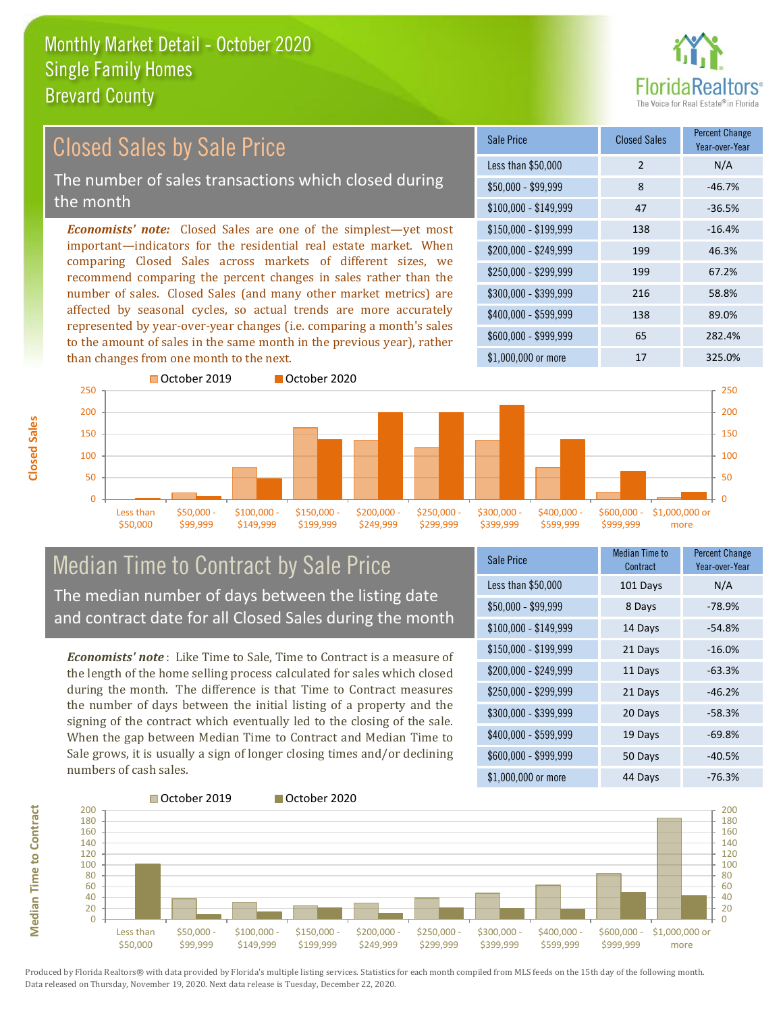

#### \$100,000 - \$149,999 47 -36.5% Sale Price Closed Sales Percent Change Year-over-Year Less than \$50,000 2 N/A  $$50.000 - $99.999$  8  $-46.7\%$ \$150,000 - \$199,999 138 -16.4% \$200,000 - \$249,999 199 46.3% \$400,000 - \$599,999 138 89.0% \$600,000 - \$999,999 65 282.4% *Economists' note:* Closed Sales are one of the simplest—yet most important—indicators for the residential real estate market. When comparing Closed Sales across markets of different sizes, we recommend comparing the percent changes in sales rather than the number of sales. Closed Sales (and many other market metrics) are affected by seasonal cycles, so actual trends are more accurately represented by year-over-year changes (i.e. comparing a month's sales to the amount of sales in the same month in the previous year), rather than changes from one month to the next. \$1,000,000 or more 17 17 325.0% \$250,000 - \$299,999 199 67.2% \$300,000 - \$399,999 216 58.8% 150 200 250 October 2019 October 2020 150 200 250 Closed Sales by Sale Price The number of sales transactions which closed during the month

### Median Time to Contract by Sale Price The median number of days between the listing date and contract date for all Closed Sales during the month

\$100,000 \$149,999 \$150,000 - \$199,999

\$200,000 - \$249,999

\$250,000 - \$299,999

\$300,000 - \$399,999

\$400,000 - \$599,999

*Economists' note* : Like Time to Sale, Time to Contract is a measure of the length of the home selling process calculated for sales which closed during the month. The difference is that Time to Contract measures the number of days between the initial listing of a property and the signing of the contract which eventually led to the closing of the sale. When the gap between Median Time to Contract and Median Time to Sale grows, it is usually a sign of longer closing times and/or declining numbers of cash sales.

| <b>Sale Price</b>     | Median Time to<br>Contract | <b>Percent Change</b><br>Year-over-Year |
|-----------------------|----------------------------|-----------------------------------------|
| Less than \$50,000    | 101 Days                   | N/A                                     |
| \$50,000 - \$99,999   | 8 Days                     | $-78.9%$                                |
| $$100,000 - $149,999$ | 14 Days                    | $-54.8%$                                |
| \$150,000 - \$199,999 | 21 Days                    | $-16.0%$                                |
| \$200,000 - \$249,999 | 11 Days                    | $-63.3%$                                |
| \$250,000 - \$299,999 | 21 Days                    | $-46.2%$                                |
| \$300,000 - \$399,999 | 20 Days                    | $-58.3%$                                |
| \$400,000 - \$599,999 | 19 Days                    | $-69.8%$                                |
| \$600,000 - \$999,999 | 50 Days                    | $-40.5%$                                |
| \$1,000,000 or more   | 44 Days                    | $-76.3%$                                |

\$600,000 - \$999,999

\$1,000,000 or more

 $\Omega$ 50 100



Produced by Florida Realtors® with data provided by Florida's multiple listing services. Statistics for each month compiled from MLS feeds on the 15th day of the following month. Data released on Thursday, November 19, 2020. Next data release is Tuesday, December 22, 2020.

 $\Omega$ 50 100

> Less than \$50,000

\$50,000 - \$99,999

**Median Time to Contract**

**Median Time to Contract**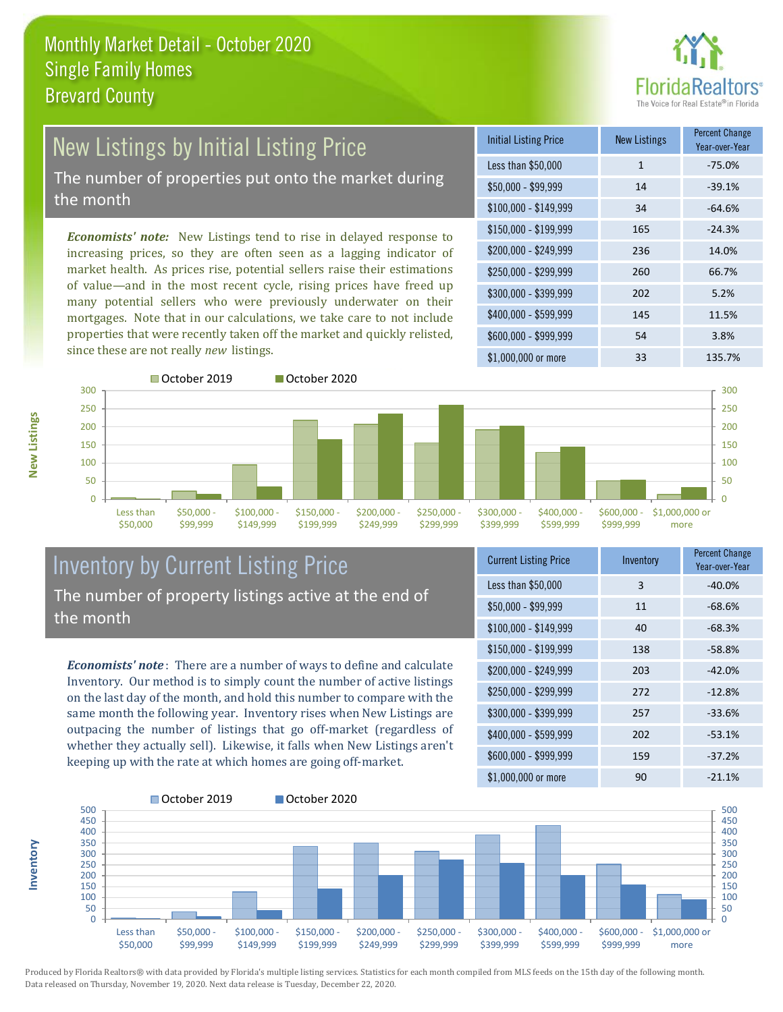

# New Listings by Initial Listing Price The number of properties put onto the market during

the month

*Economists' note:* New Listings tend to rise in delayed response to increasing prices, so they are often seen as a lagging indicator of market health. As prices rise, potential sellers raise their estimations of value—and in the most recent cycle, rising prices have freed up many potential sellers who were previously underwater on their mortgages. Note that in our calculations, we take care to not include properties that were recently taken off the market and quickly relisted, since these are not really *new* listings.

| <b>Initial Listing Price</b> | <b>New Listings</b> | <b>Percent Change</b><br>Year-over-Year |
|------------------------------|---------------------|-----------------------------------------|
| Less than \$50,000           | $\mathbf{1}$        | $-75.0%$                                |
| $$50,000 - $99,999$          | 14                  | $-39.1%$                                |
| $$100,000 - $149,999$        | 34                  | $-64.6%$                                |
| \$150,000 - \$199,999        | 165                 | $-24.3%$                                |
| \$200,000 - \$249,999        | 236                 | 14.0%                                   |
| \$250,000 - \$299,999        | 260                 | 66.7%                                   |
| \$300,000 - \$399,999        | 202                 | 5.2%                                    |
| \$400,000 - \$599,999        | 145                 | 11.5%                                   |
| \$600,000 - \$999,999        | 54                  | 3.8%                                    |
| \$1,000,000 or more          | 33                  | 135.7%                                  |



#### Inventory by Current Listing Price The number of property listings active at the end of the month

*Economists' note* : There are a number of ways to define and calculate Inventory. Our method is to simply count the number of active listings on the last day of the month, and hold this number to compare with the same month the following year. Inventory rises when New Listings are outpacing the number of listings that go off-market (regardless of whether they actually sell). Likewise, it falls when New Listings aren't keeping up with the rate at which homes are going off-market.

| <b>Current Listing Price</b> | Inventory | <b>Percent Change</b><br>Year-over-Year |
|------------------------------|-----------|-----------------------------------------|
| Less than \$50,000           | 3         | $-40.0%$                                |
| $$50,000 - $99,999$          | 11        | $-68.6%$                                |
| $$100,000 - $149,999$        | 40        | $-68.3%$                                |
| $$150,000 - $199,999$        | 138       | $-58.8%$                                |
| \$200,000 - \$249,999        | 203       | $-42.0%$                                |
| \$250,000 - \$299,999        | 272       | $-12.8%$                                |
| \$300,000 - \$399,999        | 257       | $-33.6%$                                |
| \$400,000 - \$599,999        | 202       | $-53.1%$                                |
| \$600,000 - \$999,999        | 159       | $-37.2%$                                |
| \$1,000,000 or more          | 90        | $-21.1%$                                |



Produced by Florida Realtors® with data provided by Florida's multiple listing services. Statistics for each month compiled from MLS feeds on the 15th day of the following month. Data released on Thursday, November 19, 2020. Next data release is Tuesday, December 22, 2020.

**Inventory**